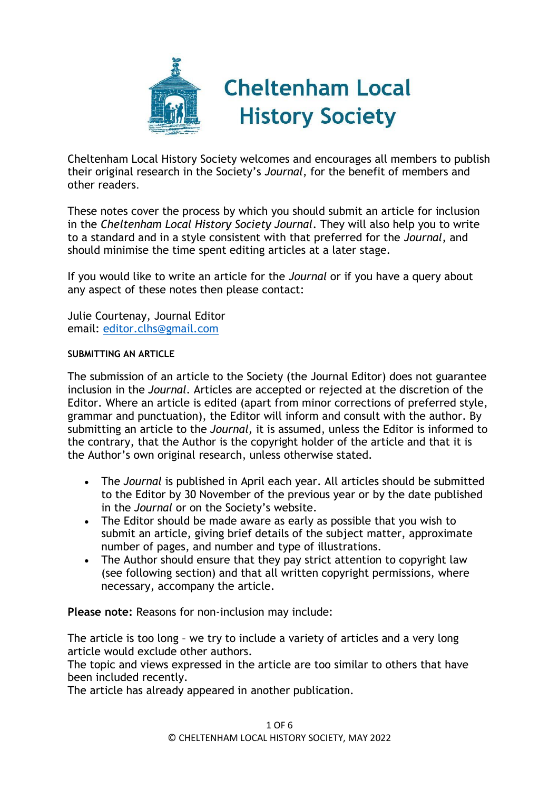

Cheltenham Local History Society welcomes and encourages all members to publish their original research in the Society's *Journal*, for the benefit of members and other readers.

These notes cover the process by which you should submit an article for inclusion in the *Cheltenham Local History Society Journal*. They will also help you to write to a standard and in a style consistent with that preferred for the *Journal*, and should minimise the time spent editing articles at a later stage.

If you would like to write an article for the *Journal* or if you have a query about any aspect of these notes then please contact:

Julie Courtenay, Journal Editor email: [editor.clhs@gmail.com](mailto:editor.clhs@gmail.com)

## **SUBMITTING AN ARTICLE**

The submission of an article to the Society (the Journal Editor) does not guarantee inclusion in the *Journal*. Articles are accepted or rejected at the discretion of the Editor. Where an article is edited (apart from minor corrections of preferred style, grammar and punctuation), the Editor will inform and consult with the author. By submitting an article to the *Journal,* it is assumed, unless the Editor is informed to the contrary, that the Author is the copyright holder of the article and that it is the Author's own original research, unless otherwise stated.

- The *Journal* is published in April each year. All articles should be submitted to the Editor by 30 November of the previous year or by the date published in the *Journal* or on the Society's website.
- The Editor should be made aware as early as possible that you wish to submit an article, giving brief details of the subject matter, approximate number of pages, and number and type of illustrations.
- The Author should ensure that they pay strict attention to copyright law (see following section) and that all written copyright permissions, where necessary, accompany the article.

**Please note:** Reasons for non-inclusion may include:

The article is too long – we try to include a variety of articles and a very long article would exclude other authors.

The topic and views expressed in the article are too similar to others that have been included recently.

The article has already appeared in another publication.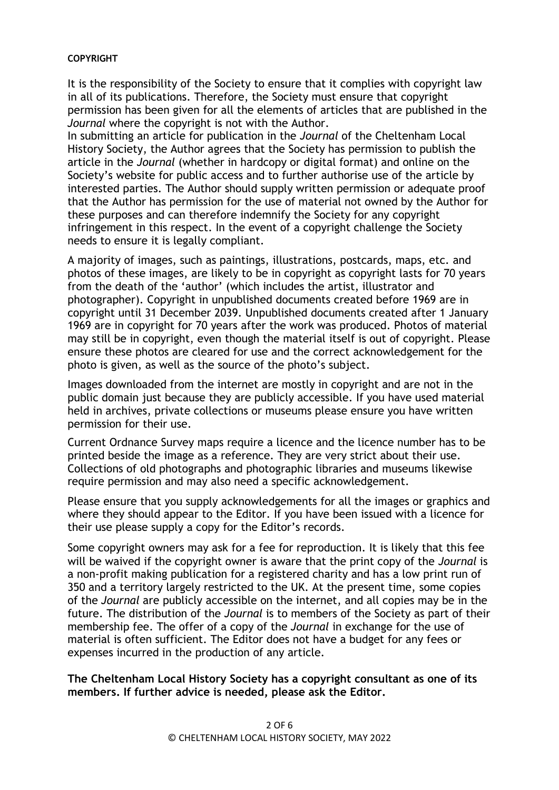#### **COPYRIGHT**

It is the responsibility of the Society to ensure that it complies with copyright law in all of its publications. Therefore, the Society must ensure that copyright permission has been given for all the elements of articles that are published in the *Journal* where the copyright is not with the Author.

In submitting an article for publication in the *Journal* of the Cheltenham Local History Society, the Author agrees that the Society has permission to publish the article in the *Journal* (whether in hardcopy or digital format) and online on the Society's website for public access and to further authorise use of the article by interested parties. The Author should supply written permission or adequate proof that the Author has permission for the use of material not owned by the Author for these purposes and can therefore indemnify the Society for any copyright infringement in this respect. In the event of a copyright challenge the Society needs to ensure it is legally compliant.

A majority of images, such as paintings, illustrations, postcards, maps, etc. and photos of these images, are likely to be in copyright as copyright lasts for 70 years from the death of the 'author' (which includes the artist, illustrator and photographer). Copyright in unpublished documents created before 1969 are in copyright until 31 December 2039. Unpublished documents created after 1 January 1969 are in copyright for 70 years after the work was produced. Photos of material may still be in copyright, even though the material itself is out of copyright. Please ensure these photos are cleared for use and the correct acknowledgement for the photo is given, as well as the source of the photo's subject.

Images downloaded from the internet are mostly in copyright and are not in the public domain just because they are publicly accessible. If you have used material held in archives, private collections or museums please ensure you have written permission for their use.

Current Ordnance Survey maps require a licence and the licence number has to be printed beside the image as a reference. They are very strict about their use. Collections of old photographs and photographic libraries and museums likewise require permission and may also need a specific acknowledgement.

Please ensure that you supply acknowledgements for all the images or graphics and where they should appear to the Editor. If you have been issued with a licence for their use please supply a copy for the Editor's records.

Some copyright owners may ask for a fee for reproduction. It is likely that this fee will be waived if the copyright owner is aware that the print copy of the *Journal* is a non-profit making publication for a registered charity and has a low print run of 350 and a territory largely restricted to the UK. At the present time, some copies of the *Journal* are publicly accessible on the internet, and all copies may be in the future. The distribution of the *Journal* is to members of the Society as part of their membership fee. The offer of a copy of the *Journal* in exchange for the use of material is often sufficient. The Editor does not have a budget for any fees or expenses incurred in the production of any article.

## **The Cheltenham Local History Society has a copyright consultant as one of its members. If further advice is needed, please ask the Editor.**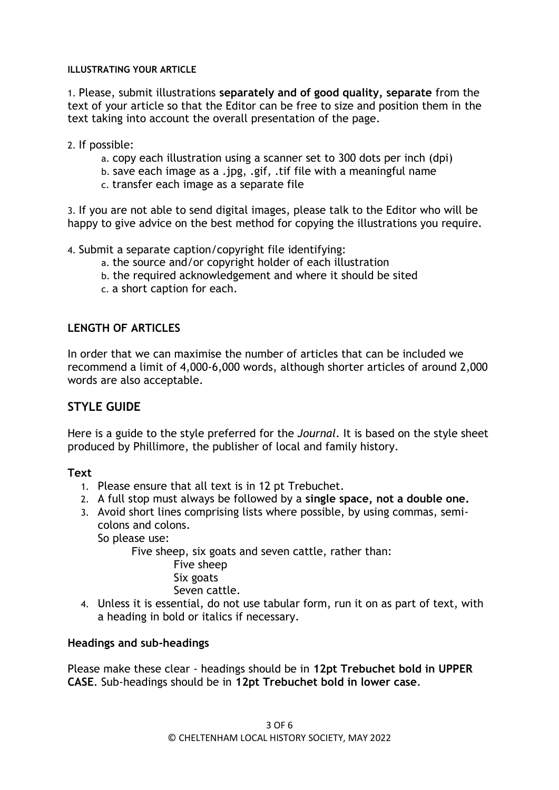## **ILLUSTRATING YOUR ARTICLE**

1. Please, submit illustrations **separately and of good quality, separate** from the text of your article so that the Editor can be free to size and position them in the text taking into account the overall presentation of the page.

2. If possible:

- a. copy each illustration using a scanner set to 300 dots per inch (dpi)
- b. save each image as a .jpg, .gif, .tif file with a meaningful name
- c. transfer each image as a separate file

3. If you are not able to send digital images, please talk to the Editor who will be happy to give advice on the best method for copying the illustrations you require.

4. Submit a separate caption/copyright file identifying:

- a. the source and/or copyright holder of each illustration
- b. the required acknowledgement and where it should be sited
- c. a short caption for each.

# **LENGTH OF ARTICLES**

In order that we can maximise the number of articles that can be included we recommend a limit of 4,000-6,000 words, although shorter articles of around 2,000 words are also acceptable.

# **STYLE GUIDE**

Here is a guide to the style preferred for the *Journal*. It is based on the style sheet produced by Phillimore, the publisher of local and family history.

# **Text**

- 1. Please ensure that all text is in 12 pt Trebuchet.
- 2. A full stop must always be followed by a **single space, not a double one.**
- 3. Avoid short lines comprising lists where possible, by using commas, semicolons and colons.

So please use:

Five sheep, six goats and seven cattle, rather than:

Five sheep Six goats Seven cattle.

4. Unless it is essential, do not use tabular form, run it on as part of text, with a heading in bold or italics if necessary.

# **Headings and sub-headings**

Please make these clear - headings should be in **12pt Trebuchet bold in UPPER CASE**. Sub-headings should be in **12pt Trebuchet bold in lower case**.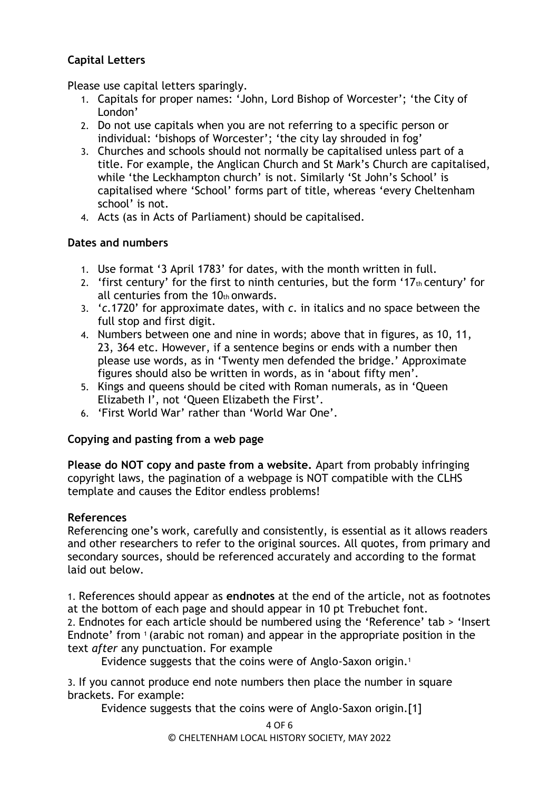# **Capital Letters**

Please use capital letters sparingly.

- 1. Capitals for proper names: 'John, Lord Bishop of Worcester'; 'the City of London'
- 2. Do not use capitals when you are not referring to a specific person or individual: 'bishops of Worcester'; 'the city lay shrouded in fog'
- 3. Churches and schools should not normally be capitalised unless part of a title. For example, the Anglican Church and St Mark's Church are capitalised, while 'the Leckhampton church' is not. Similarly 'St John's School' is capitalised where 'School' forms part of title, whereas 'every Cheltenham school' is not.
- 4. Acts (as in Acts of Parliament) should be capitalised.

## **Dates and numbers**

- 1. Use format '3 April 1783' for dates, with the month written in full.
- 2. 'first century' for the first to ninth centuries, but the form '17 $<sub>th</sub>$  century' for</sub> all centuries from the  $10<sub>th</sub>$  onwards.
- 3. '*c*.1720' for approximate dates, with *c*. in italics and no space between the full stop and first digit.
- 4. Numbers between one and nine in words; above that in figures, as 10, 11, 23, 364 etc. However, if a sentence begins or ends with a number then please use words, as in 'Twenty men defended the bridge.' Approximate figures should also be written in words, as in 'about fifty men'.
- 5. Kings and queens should be cited with Roman numerals, as in 'Queen Elizabeth I', not 'Queen Elizabeth the First'.
- 6. 'First World War' rather than 'World War One'.

# **Copying and pasting from a web page**

**Please do NOT copy and paste from a website.** Apart from probably infringing copyright laws, the pagination of a webpage is NOT compatible with the CLHS template and causes the Editor endless problems!

# **References**

Referencing one's work, carefully and consistently, is essential as it allows readers and other researchers to refer to the original sources. All quotes, from primary and secondary sources, should be referenced accurately and according to the format laid out below.

1. References should appear as **endnotes** at the end of the article, not as footnotes at the bottom of each page and should appear in 10 pt Trebuchet font. 2. Endnotes for each article should be numbered using the 'Reference' tab > 'Insert Endnote' from <sup>1</sup> (arabic not roman) and appear in the appropriate position in the

text *after* any punctuation. For example

Evidence suggests that the coins were of Anglo-Saxon origin.<sup>1</sup>

3. If you cannot produce end note numbers then place the number in square brackets. For example:

Evidence suggests that the coins were of Anglo-Saxon origin.[1]

4 OF 6

© CHELTENHAM LOCAL HISTORY SOCIETY, MAY 2022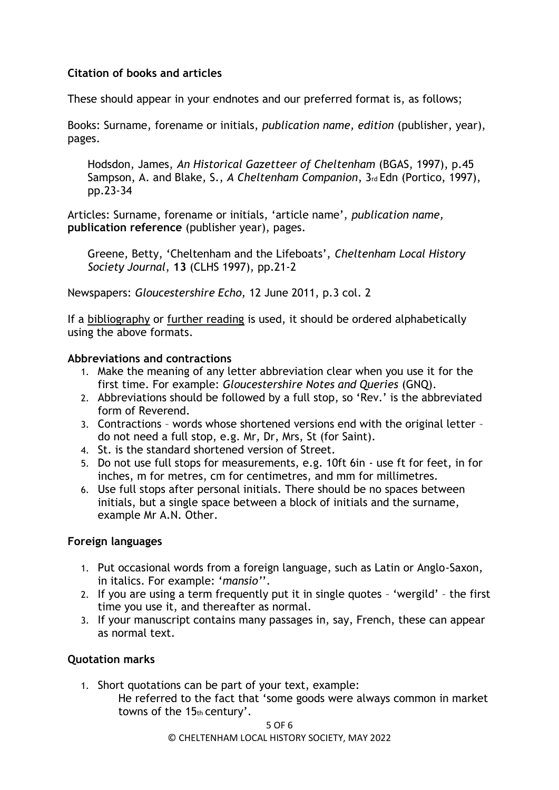# **Citation of books and articles**

These should appear in your endnotes and our preferred format is, as follows;

Books: Surname, forename or initials, *publication name, edition* (publisher, year), pages.

Hodsdon, James, *An Historical Gazetteer of Cheltenham* (BGAS, 1997), p.45 Sampson, A. and Blake, S., *A Cheltenham Companion*, 3rd Edn (Portico, 1997), pp.23-34

Articles: Surname, forename or initials, 'article name', *publication name,*  **publication reference** (publisher year), pages.

Greene, Betty, 'Cheltenham and the Lifeboats', *Cheltenham Local History Society Journal*, **13** (CLHS 1997), pp.21-2

Newspapers: *Gloucestershire Echo,* 12 June 2011, p.3 col. 2

If a bibliography or further reading is used, it should be ordered alphabetically using the above formats.

## **Abbreviations and contractions**

- 1. Make the meaning of any letter abbreviation clear when you use it for the first time. For example: *Gloucestershire Notes and Queries* (GNQ).
- 2. Abbreviations should be followed by a full stop, so 'Rev.' is the abbreviated form of Reverend.
- 3. Contractions words whose shortened versions end with the original letter do not need a full stop, e.g. Mr, Dr, Mrs, St (for Saint).
- 4. St. is the standard shortened version of Street.
- 5. Do not use full stops for measurements, e.g. 10ft 6in use ft for feet, in for inches, m for metres, cm for centimetres, and mm for millimetres.
- 6. Use full stops after personal initials. There should be no spaces between initials, but a single space between a block of initials and the surname, example Mr A.N. Other.

# **Foreign languages**

- 1. Put occasional words from a foreign language, such as Latin or Anglo-Saxon, in italics. For example: '*mansio'*'.
- 2. If you are using a term frequently put it in single quotes 'wergild' the first time you use it, and thereafter as normal.
- 3. If your manuscript contains many passages in, say, French, these can appear as normal text.

# **Quotation marks**

- 1. Short quotations can be part of your text, example:
	- He referred to the fact that 'some goods were always common in market towns of the 15th century'.